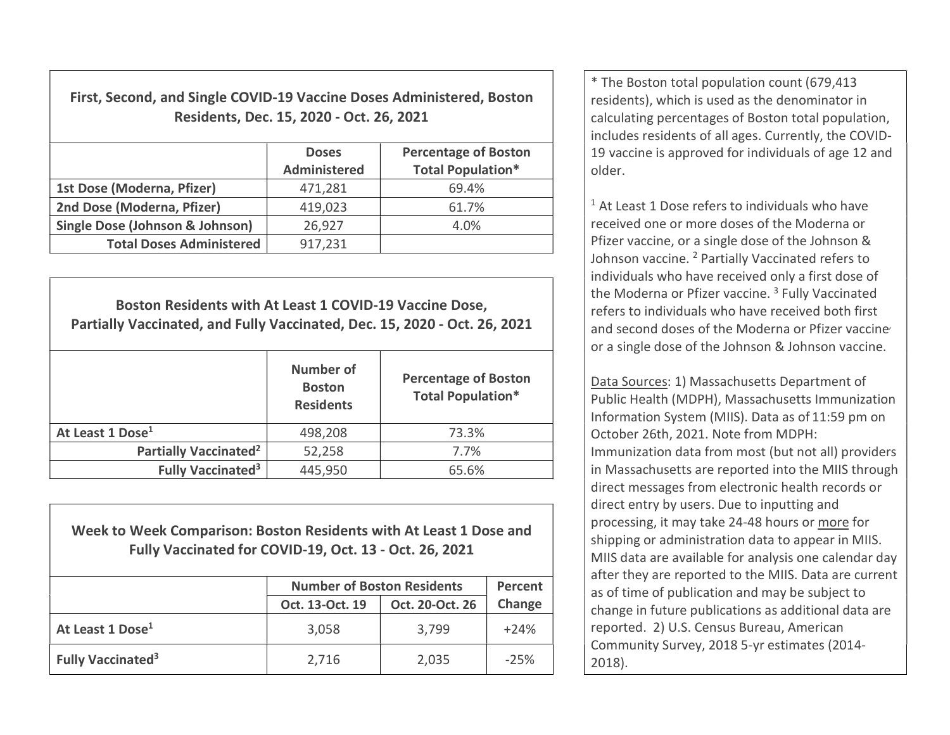First, Second, and Single COVID-19 Vaccine Doses Administered, Boston Residents, Dec. 15, 2020 - Oct. 26, 2021

|                                            | <b>Doses</b><br><b>Administered</b> | <b>Percentage of Boston</b><br><b>Total Population*</b> |
|--------------------------------------------|-------------------------------------|---------------------------------------------------------|
| 1st Dose (Moderna, Pfizer)                 | 471,281                             | 69.4%                                                   |
| 2nd Dose (Moderna, Pfizer)                 | 419,023                             | 61.7%                                                   |
| <b>Single Dose (Johnson &amp; Johnson)</b> | 26,927                              | 4.0%                                                    |
| <b>Total Doses Administered</b>            | 917,231                             |                                                         |

Boston Residents with At Least 1 COVID-19 Vaccine Dose, Partially Vaccinated, and Fully Vaccinated, Dec. 15, 2020 - Oct. 26, 2021 Number of **Boston Residents** Percentage of Boston Total Population\* At Least 1 Dose<sup>1</sup> 198,208 13.3% Partially Vaccinated<sup>2</sup>  $\vert$  52,258  $\vert$  7.7% Fully Vaccinated<sup>3</sup>  $445,950$   $85.6\%$ 

Week to Week Comparison: Boston Residents with At Least 1 Dose and Fully Vaccinated for COVID-19, Oct. 13 - Oct. 26, 2021

|                                     | <b>Number of Boston Residents</b> | Percent         |        |
|-------------------------------------|-----------------------------------|-----------------|--------|
|                                     | Oct. 13-Oct. 19                   | Oct. 20-Oct. 26 | Change |
| At Least 1 Dose <sup>1</sup>        | 3,058                             | 3,799           | $+24%$ |
| <b>Fully Vaccinated<sup>3</sup></b> | 2,716                             | 2,035           | $-25%$ |

\* The Boston total population count (679,413 residents), which is used as the denominator in calculating percentages of Boston total population, includes residents of all ages. Currently, the COVID-19 vaccine is approved for individuals of age 12 and older.

<sup>1</sup> At Least 1 Dose refers to individuals who have received one or more doses of the Moderna or Pfizer vaccine, or a single dose of the Johnson & Johnson vaccine. <sup>2</sup> Partially Vaccinated refers to individuals who have received only a first dose of the Moderna or Pfizer vaccine.<sup>3</sup> Fully Vaccinated refers to individuals who have received both first and second doses of the Moderna or Pfizer vaccine or a single dose of the Johnson & Johnson vaccine.

Data Sources: 1) Massachusetts Department of Public Health (MDPH), Massachusetts Immunization Information System (MIIS). Data as of 11:59 pm on October 26th, 2021. Note from MDPH: Immunization data from most (but not all) providers in Massachusetts are reported into the MIIS through direct messages from electronic health records or direct entry by users. Due to inputting and processing, it may take 24-48 hours or more for shipping or administration data to appear in MIIS. MIIS data are available for analysis one calendar day after they are reported to the MIIS. Data are current as of time of publication and may be subject to change in future publications as additional data are reported. 2) U.S. Census Bureau, American Community Survey, 2018 5-yr estimates (2014- 2018).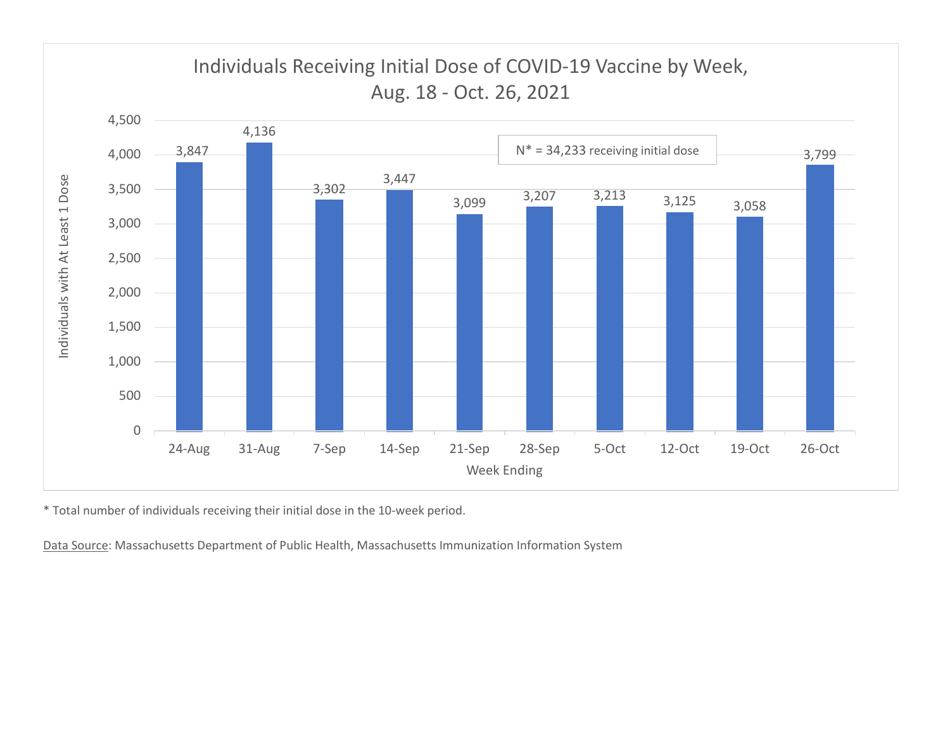

\* Total number of individuals receiving their initial dose in the 10-week period.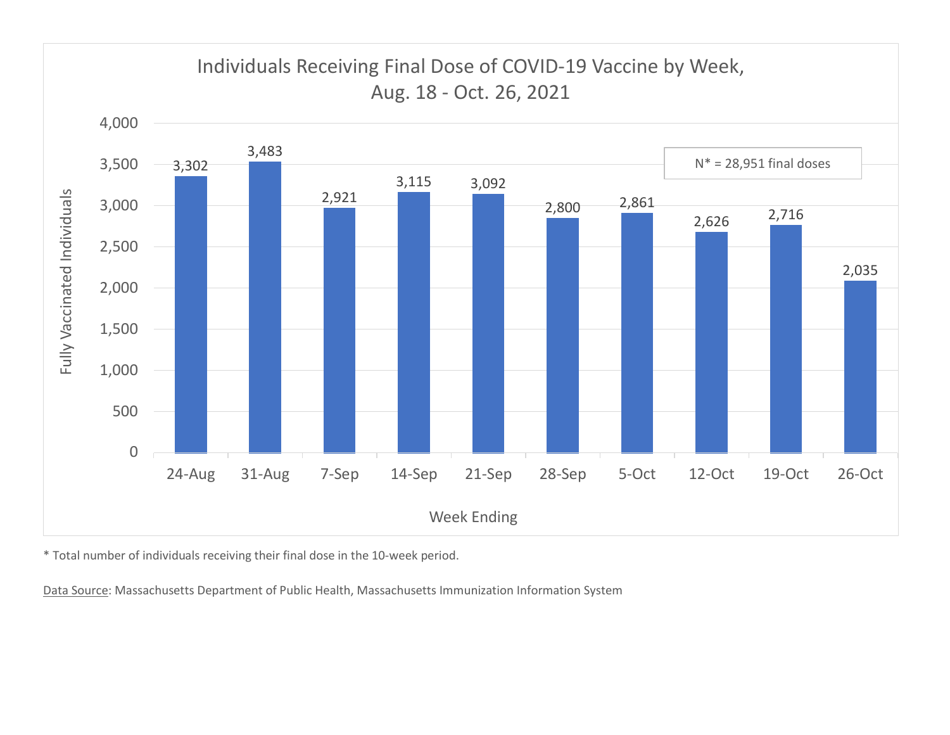

\* Total number of individuals receiving their final dose in the 10-week period.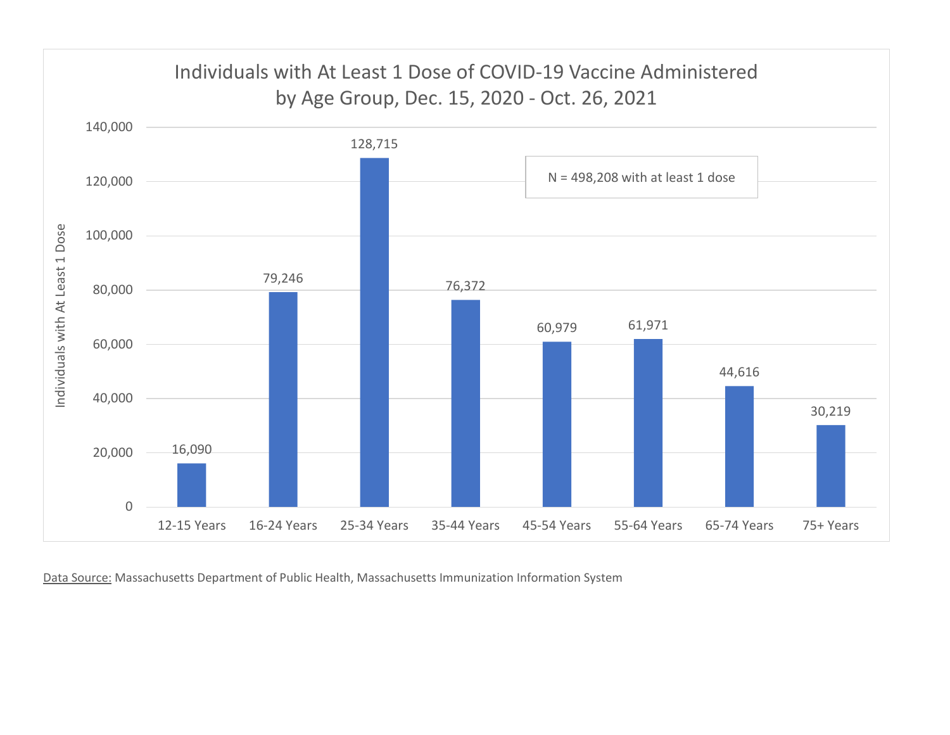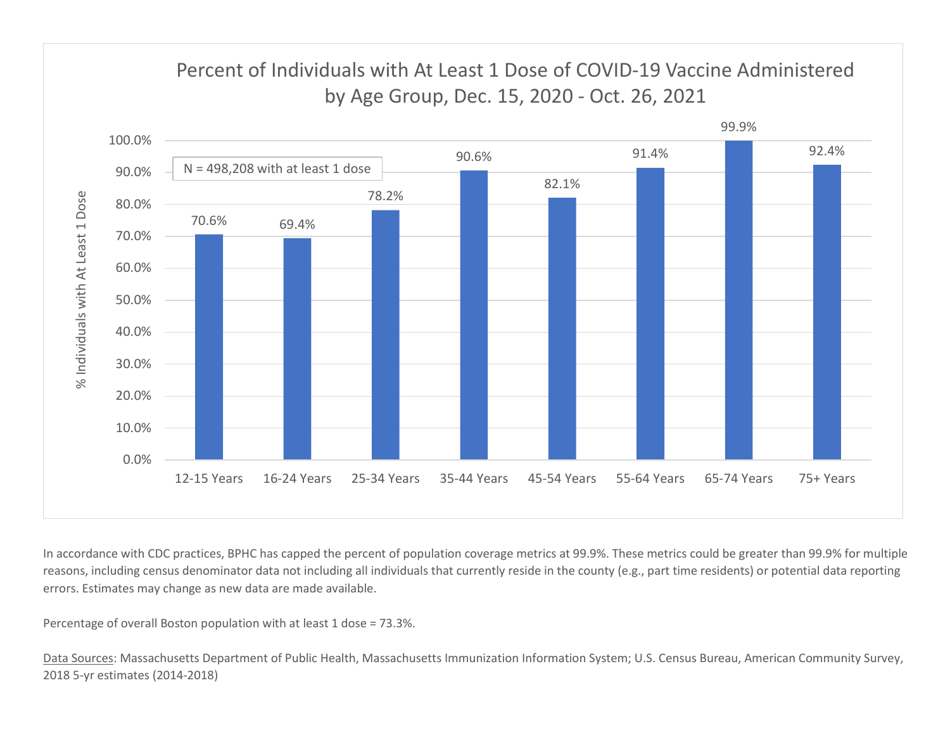

In accordance with CDC practices, BPHC has capped the percent of population coverage metrics at 99.9%. These metrics could be greater than 99.9% for multiple reasons, including census denominator data not including all individuals that currently reside in the county (e.g., part time residents) or potential data reporting errors. Estimates may change as new data are made available.

Percentage of overall Boston population with at least 1 dose = 73.3%.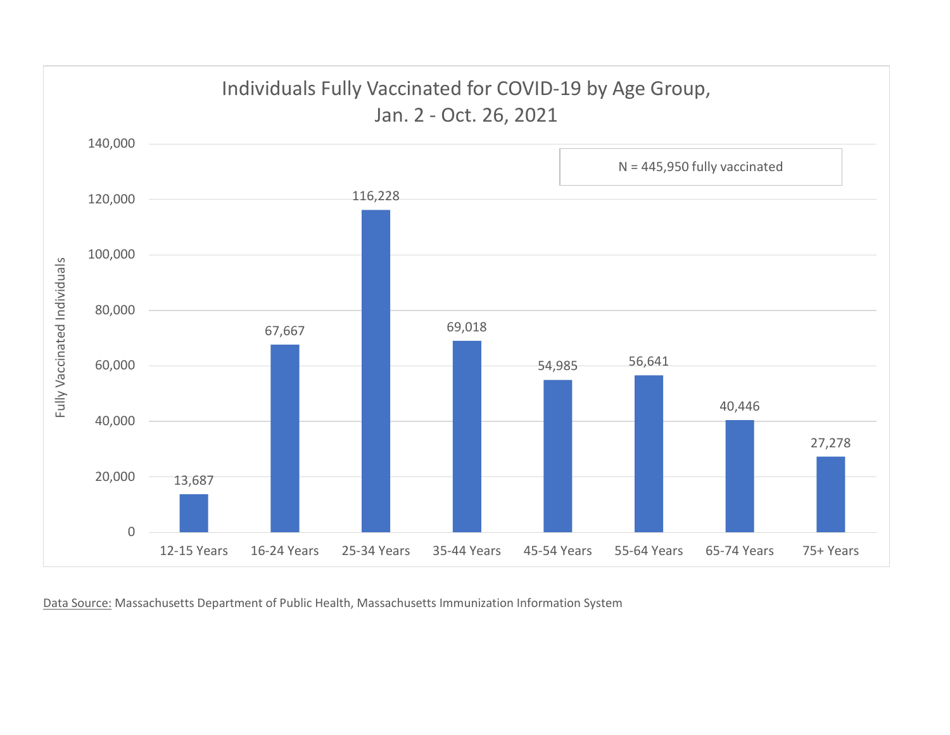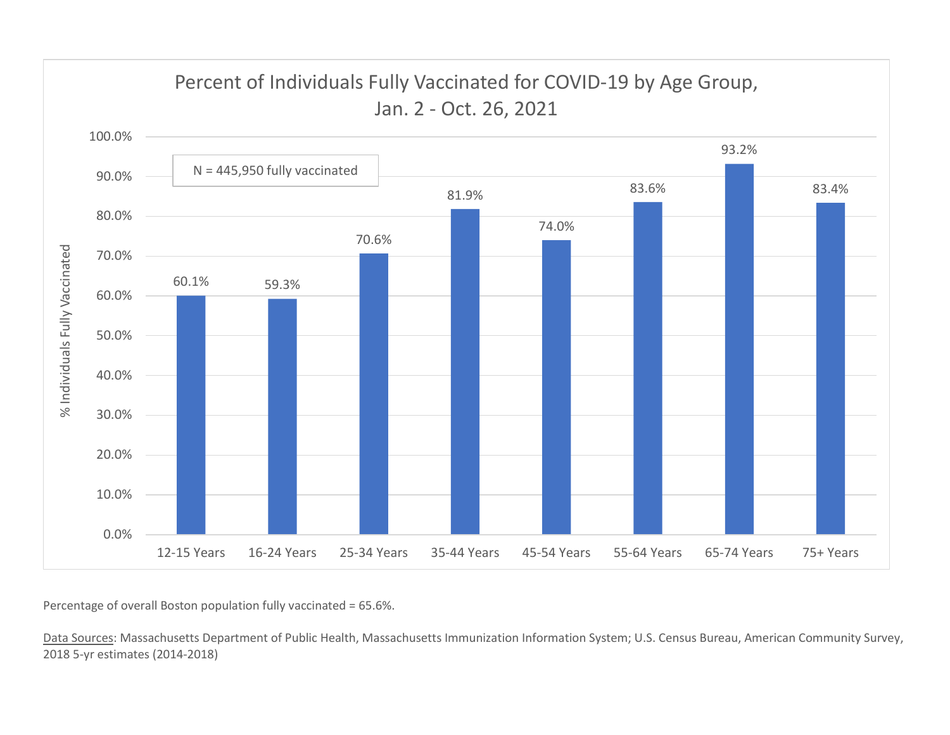

Percentage of overall Boston population fully vaccinated = 65.6%.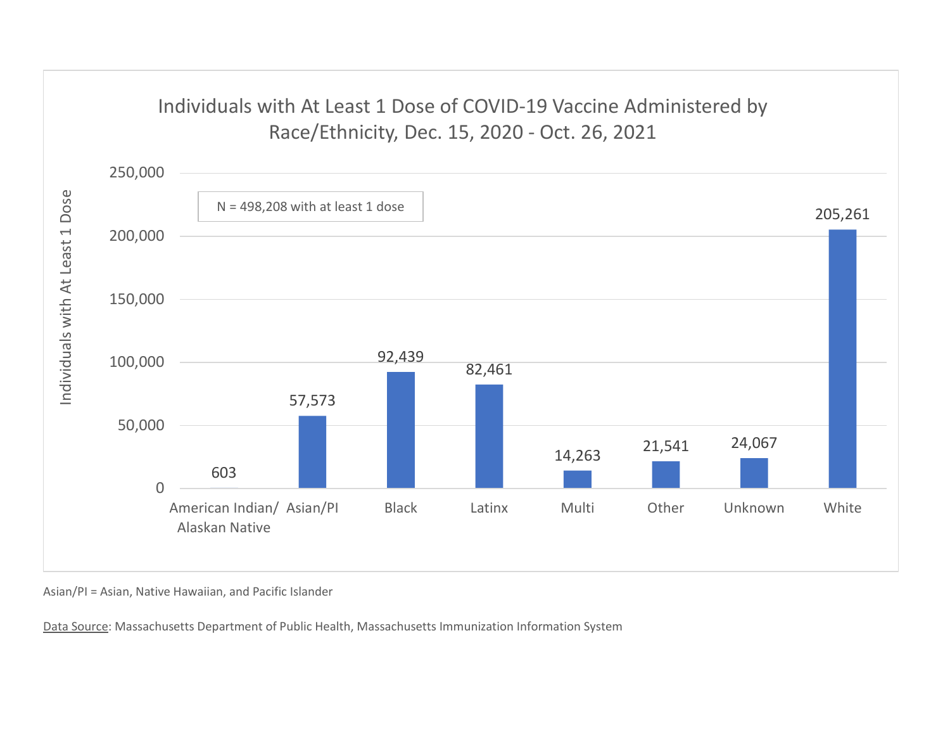## Individuals with At Least 1 Dose of COVID-19 Vaccine Administered by



Asian/PI = Asian, Native Hawaiian, and Pacific Islander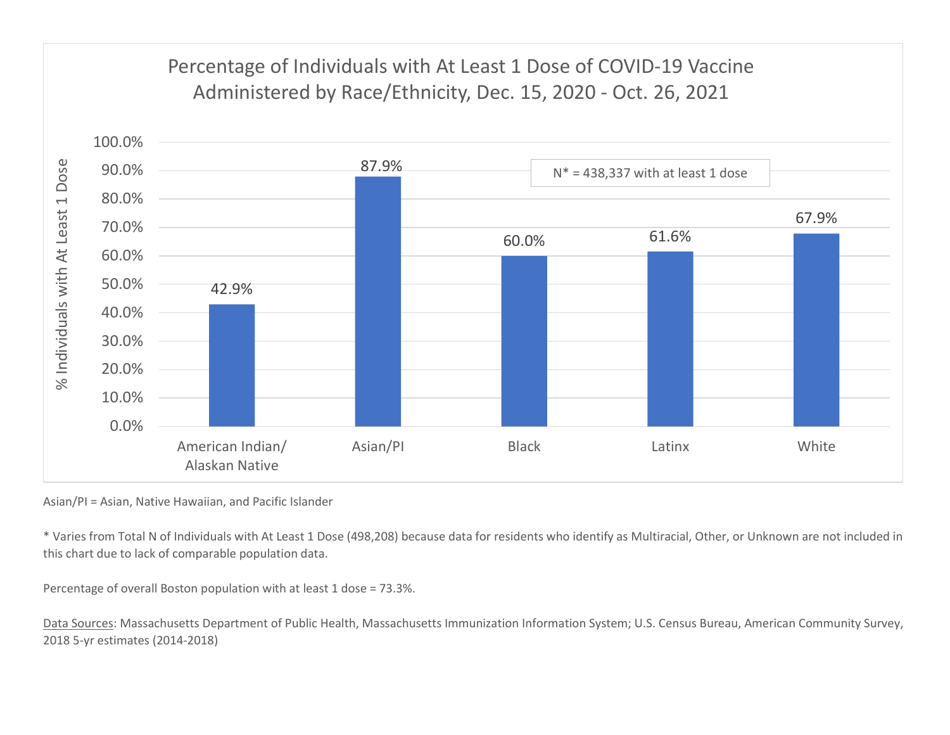## 87.9% N\* = 438,337 with at least 1 dose80.0% 90.0% 100.0% Percentage of Individuals with At Least 1 Dose of COVID-19 Vaccine Example of Individuals with At Least 1 Dose of COVID-19 Vaccine<br>Administered by Race/Ethnicity, Dec. 15, 2020 - Oct. 26, 2021<br>87.9%<br>R<sup>\*</sup> = 438,337 with at least 1 dose



Asian/PI = Asian, Native Hawaiian, and Pacific Islander

\* Varies from Total N of Individuals with At Least 1 Dose (498,208) because data for residents who identify as Multiracial, Other, or Unknown are not included in this chart due to lack of comparable population data.

Percentage of overall Boston population with at least 1 dose = 73.3%.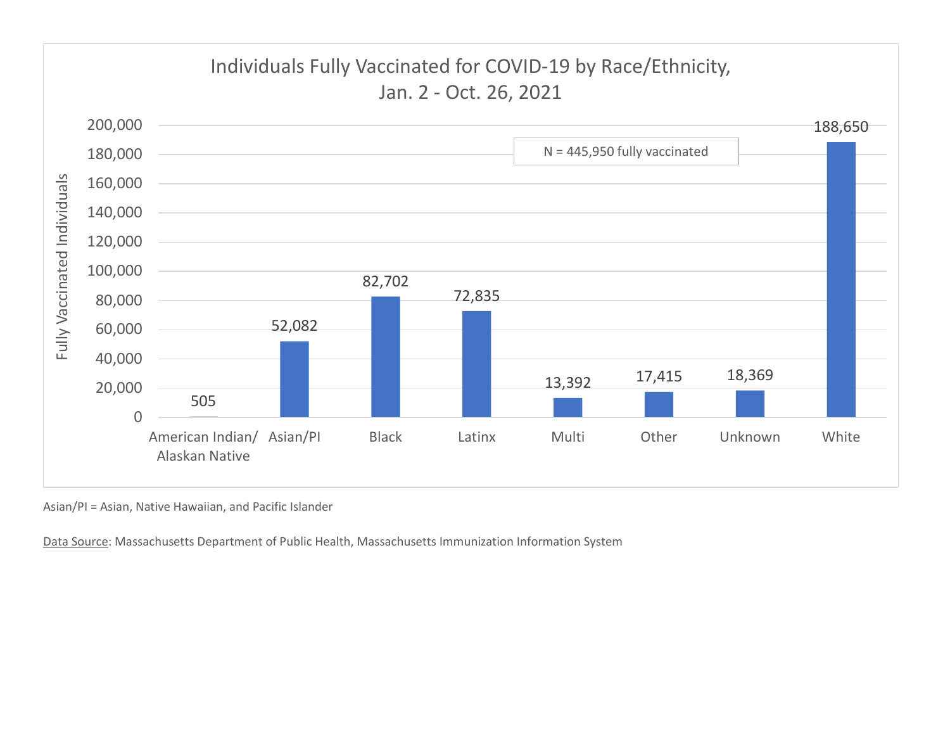

Asian/PI = Asian, Native Hawaiian, and Pacific Islander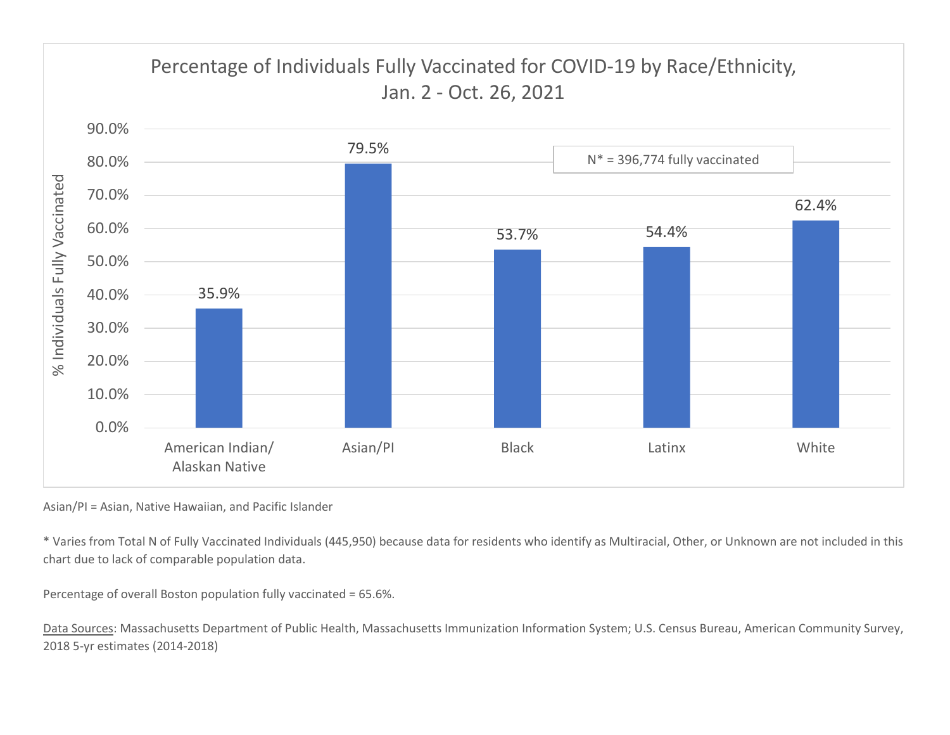

Asian/PI = Asian, Native Hawaiian, and Pacific Islander

\* Varies from Total N of Fully Vaccinated Individuals (445,950) because data for residents who identify as Multiracial, Other, or Unknown are not included in this chart due to lack of comparable population data.

Percentage of overall Boston population fully vaccinated = 65.6%.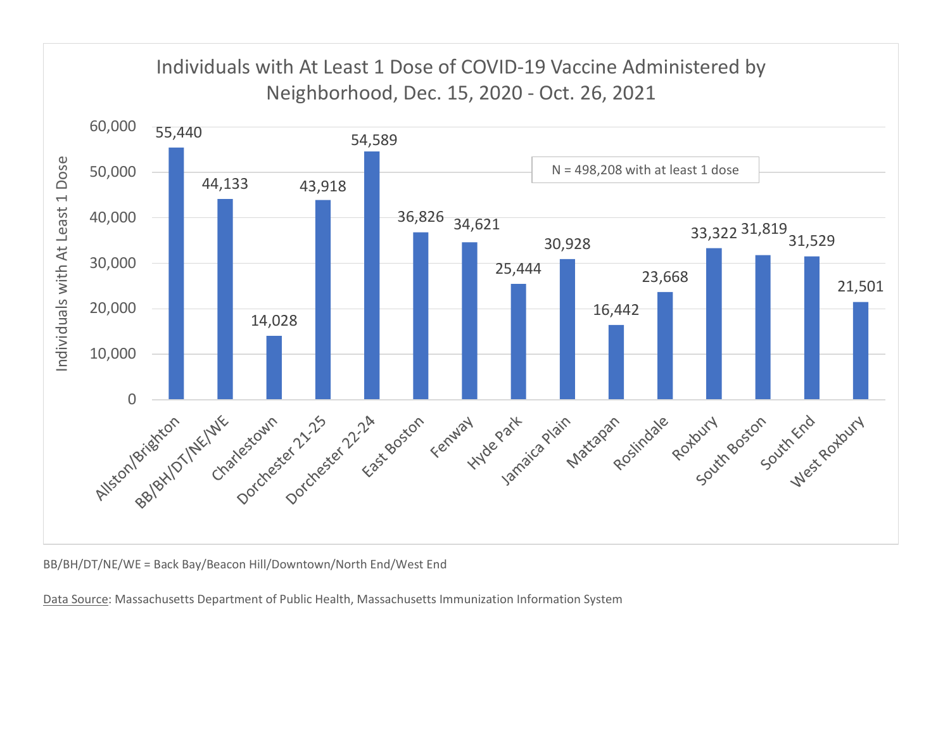

BB/BH/DT/NE/WE = Back Bay/Beacon Hill/Downtown/North End/West End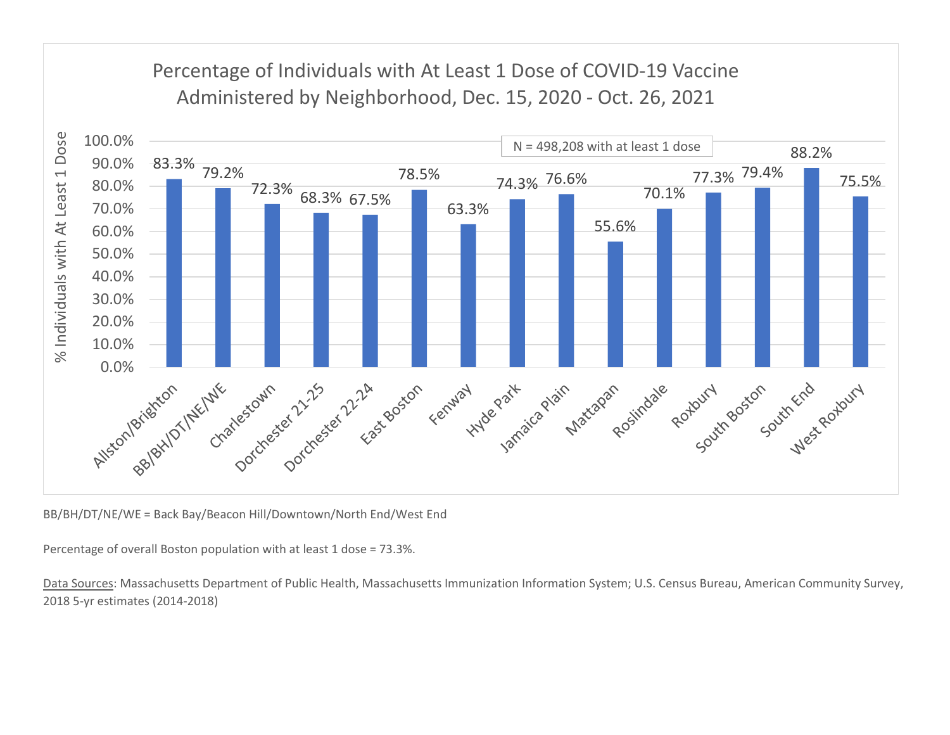## Percentage of Individuals with At Least 1 Dose of COVID-19 Vaccine



BB/BH/DT/NE/WE = Back Bay/Beacon Hill/Downtown/North End/West End

Percentage of overall Boston population with at least 1 dose = 73.3%.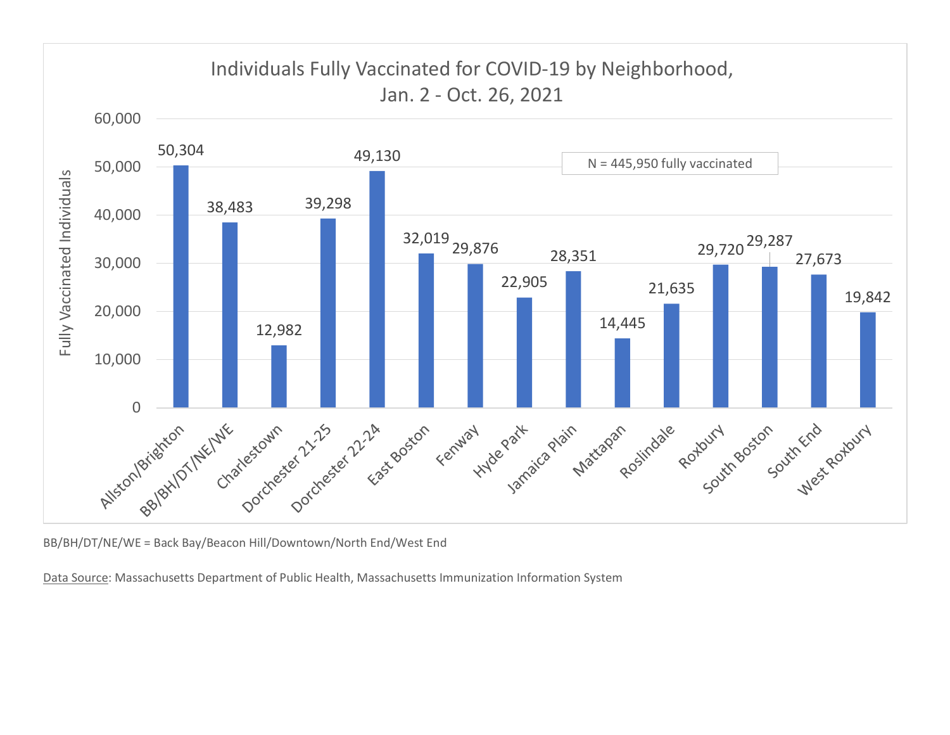

BB/BH/DT/NE/WE = Back Bay/Beacon Hill/Downtown/North End/West End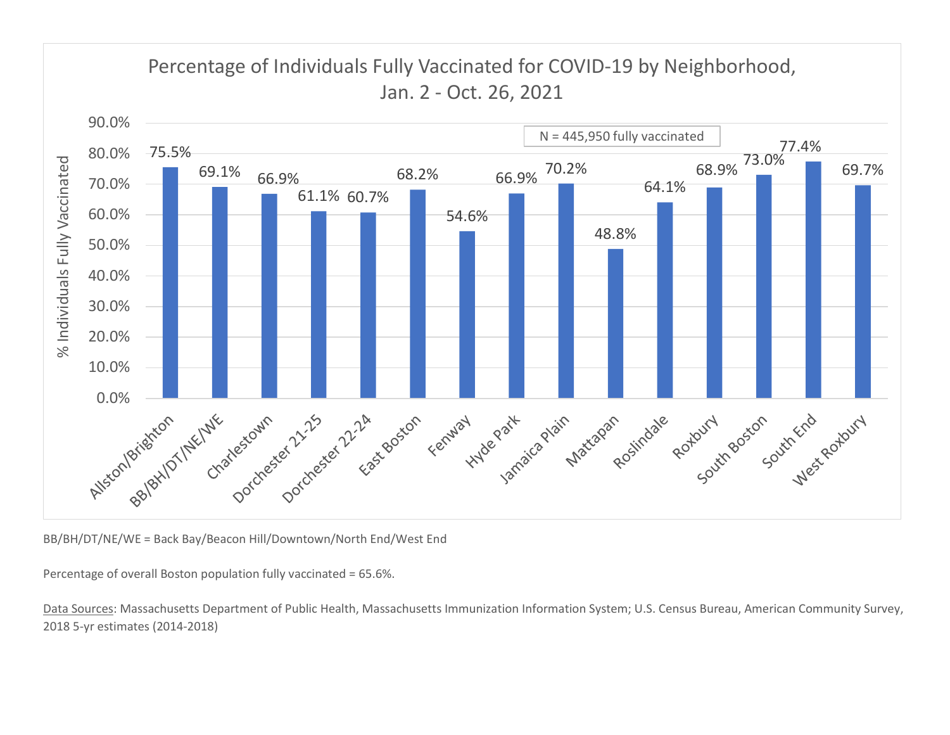

BB/BH/DT/NE/WE = Back Bay/Beacon Hill/Downtown/North End/West End

Percentage of overall Boston population fully vaccinated = 65.6%.